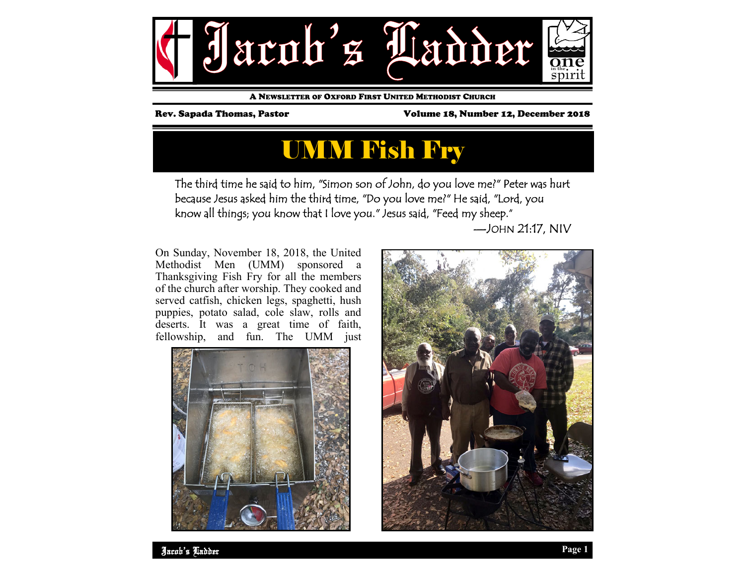

A NEWSLETTER OF OXFORD FIRST UNITED METHODIST CHURCH

Rev. Sapada Thomas, Pastor Volume 18, Number 12, December 2018

## UMM Fish Fry

The third time he said to him, "Simon son of John, do you love me?" Peter was hurt because Jesus asked him the third time, "Do you love me?" He said, "Lord, you know all things; you know that I love you." Jesus said, "Feed my sheep."

—JOHN 21:17, NIV

On Sunday, November 18, 2018, the United Methodist Men (UMM) sponsored a Thanksgiving Fish Fry for all the members of the church after worship. They cooked and served catfish, chicken legs, spaghetti, hush puppies, potato salad, cole slaw, rolls and deserts. It was a great time of faith, fellowship, and fun. The UMM just



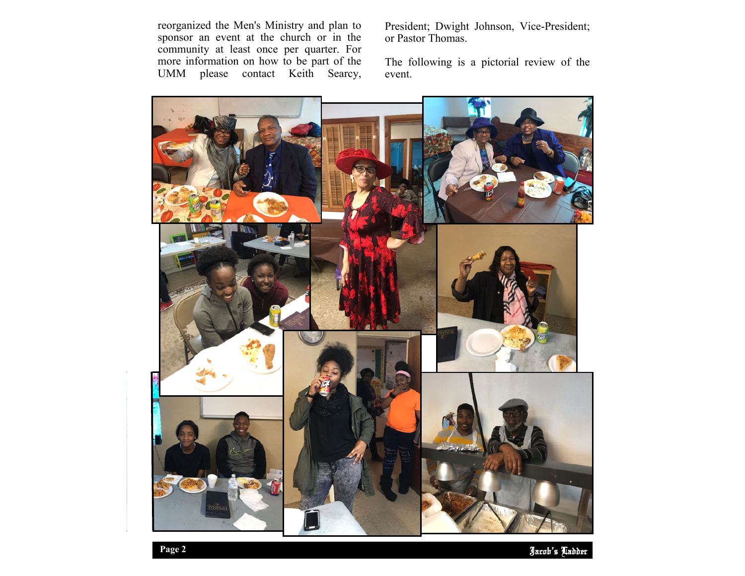reorganized the Men's Ministry and plan to sponsor an event at the church or in the community at least once per quarter. For more information on how to be part of the UMM please contact Keith Searcy, President; Dwight Johnson, Vice-President; or Pastor Thomas.

The following is a pictorial review of the event.



Jacob's Ladder **Page 2**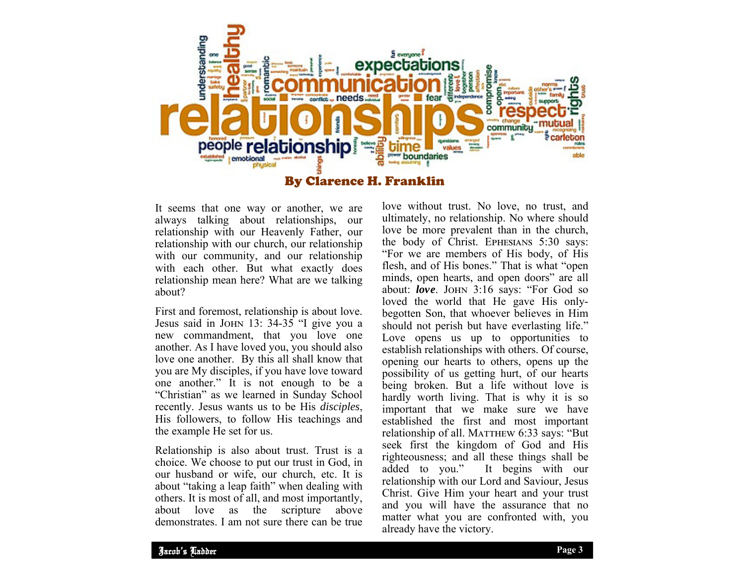

It seems that one way or another, we are always talking about relationships, our relationship with our Heavenly Father, our relationship with our church, our relationship with our community, and our relationship with each other. But what exactly does relationship mean here? What are we talking about?

First and foremost, relationship is about love. Jesus said in JOHN 13: 34-35 "I give you a new commandment, that you love one another. As I have loved you, you should also love one another. By this all shall know that you are My disciples, if you have love toward one another." It is not enough to be a "Christian" as we learned in Sunday School recently. Jesus wants us to be His *disciples*, His followers, to follow His teachings and the example He set for us.

Relationship is also about trust. Trust is a choice. We choose to put our trust in God, in our husband or wife, our church, etc. It is about "taking a leap faith" when dealing with others. It is most of all, and most importantly, about love as the scripture above demonstrates. I am not sure there can be true

love without trust. No love, no trust, and ultimately, no relationship. No where should love be more prevalent than in the church, the body of Christ. EPHESIANS 5:30 says: "For we are members of His body, of His flesh, and of His bones." That is what "open minds, open hearts, and open doors" are all about: love. JOHN 3:16 says: "For God so loved the world that He gave His onlybegotten Son, that whoever believes in Him should not perish but have everlasting life." Love opens us up to opportunities to establish relationships with others. Of course, opening our hearts to others, opens up the possibility of us getting hurt, of our hearts being broken. But a life without love is hardly worth living. That is why it is so important that we make sure we have established the first and most important relationship of all. MATTHEW 6:33 says: "But seek first the kingdom of God and His righteousness; and all these things shall be added to you." It begins with our relationship with our Lord and Saviour, Jesus Christ. Give Him your heart and your trust and you will have the assurance that no matter what you are confronted with, you already have the victory.